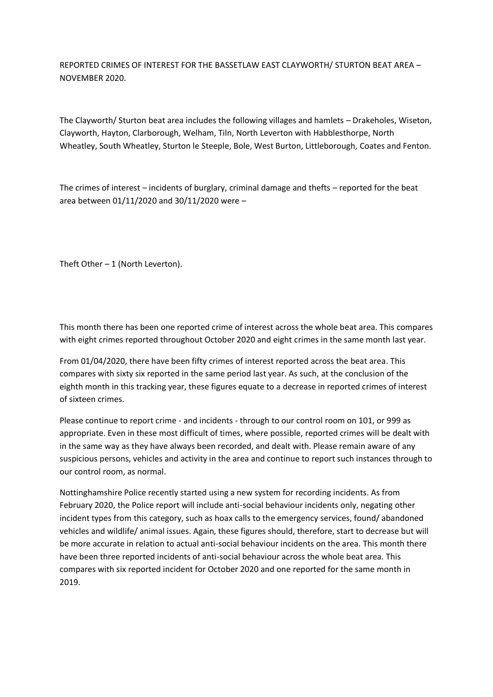REPORTED CRIMES OF INTEREST FOR THE BASSETLAW EAST CLAYWORTH/ STURTON BEAT AREA – NOVEMBER 2020.

The Clayworth/ Sturton beat area includes the following villages and hamlets – Drakeholes, Wiseton, Clayworth, Hayton, Clarborough, Welham, Tiln, North Leverton with Habblesthorpe, North Wheatley, South Wheatley, Sturton le Steeple, Bole, West Burton, Littleborough, Coates and Fenton.

The crimes of interest – incidents of burglary, criminal damage and thefts – reported for the beat area between 01/11/2020 and 30/11/2020 were –

Theft Other  $-1$  (North Leverton).

This month there has been one reported crime of interest across the whole beat area. This compares with eight crimes reported throughout October 2020 and eight crimes in the same month last year.

From 01/04/2020, there have been fifty crimes of interest reported across the beat area. This compares with sixty six reported in the same period last year. As such, at the conclusion of the eighth month in this tracking year, these figures equate to a decrease in reported crimes of interest of sixteen crimes.

Please continue to report crime - and incidents - through to our control room on 101, or 999 as appropriate. Even in these most difficult of times, where possible, reported crimes will be dealt with in the same way as they have always been recorded, and dealt with. Please remain aware of any suspicious persons, vehicles and activity in the area and continue to report such instances through to our control room, as normal.

Nottinghamshire Police recently started using a new system for recording incidents. As from February 2020, the Police report will include anti-social behaviour incidents only, negating other incident types from this category, such as hoax calls to the emergency services, found/ abandoned vehicles and wildlife/ animal issues. Again, these figures should, therefore, start to decrease but will be more accurate in relation to actual anti-social behaviour incidents on the area. This month there have been three reported incidents of anti-social behaviour across the whole beat area. This compares with six reported incident for October 2020 and one reported for the same month in 2019.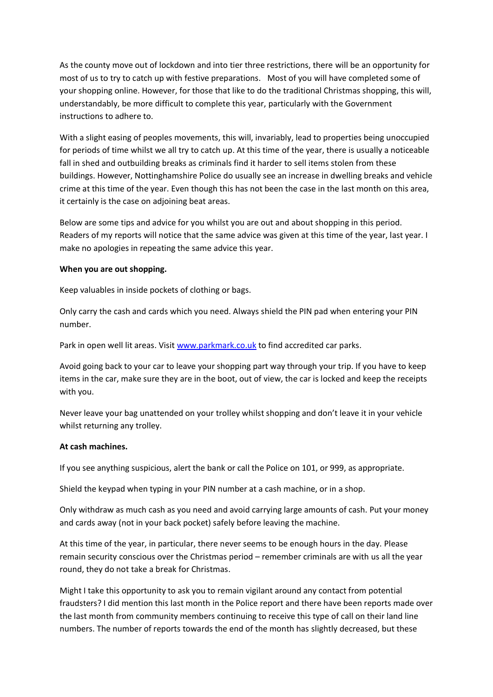As the county move out of lockdown and into tier three restrictions, there will be an opportunity for most of us to try to catch up with festive preparations. Most of you will have completed some of your shopping online. However, for those that like to do the traditional Christmas shopping, this will, understandably, be more difficult to complete this year, particularly with the Government instructions to adhere to.

With a slight easing of peoples movements, this will, invariably, lead to properties being unoccupied for periods of time whilst we all try to catch up. At this time of the year, there is usually a noticeable fall in shed and outbuilding breaks as criminals find it harder to sell items stolen from these buildings. However, Nottinghamshire Police do usually see an increase in dwelling breaks and vehicle crime at this time of the year. Even though this has not been the case in the last month on this area, it certainly is the case on adjoining beat areas.

Below are some tips and advice for you whilst you are out and about shopping in this period. Readers of my reports will notice that the same advice was given at this time of the year, last year. I make no apologies in repeating the same advice this year.

## **When you are out shopping.**

Keep valuables in inside pockets of clothing or bags.

Only carry the cash and cards which you need. Always shield the PIN pad when entering your PIN number.

Park in open well lit areas. Visi[t www.parkmark.co.uk](http://www.parkmark.co.uk/) to find accredited car parks.

Avoid going back to your car to leave your shopping part way through your trip. If you have to keep items in the car, make sure they are in the boot, out of view, the car is locked and keep the receipts with you.

Never leave your bag unattended on your trolley whilst shopping and don't leave it in your vehicle whilst returning any trolley.

## **At cash machines.**

If you see anything suspicious, alert the bank or call the Police on 101, or 999, as appropriate.

Shield the keypad when typing in your PIN number at a cash machine, or in a shop.

Only withdraw as much cash as you need and avoid carrying large amounts of cash. Put your money and cards away (not in your back pocket) safely before leaving the machine.

At this time of the year, in particular, there never seems to be enough hours in the day. Please remain security conscious over the Christmas period – remember criminals are with us all the year round, they do not take a break for Christmas.

Might I take this opportunity to ask you to remain vigilant around any contact from potential fraudsters? I did mention this last month in the Police report and there have been reports made over the last month from community members continuing to receive this type of call on their land line numbers. The number of reports towards the end of the month has slightly decreased, but these